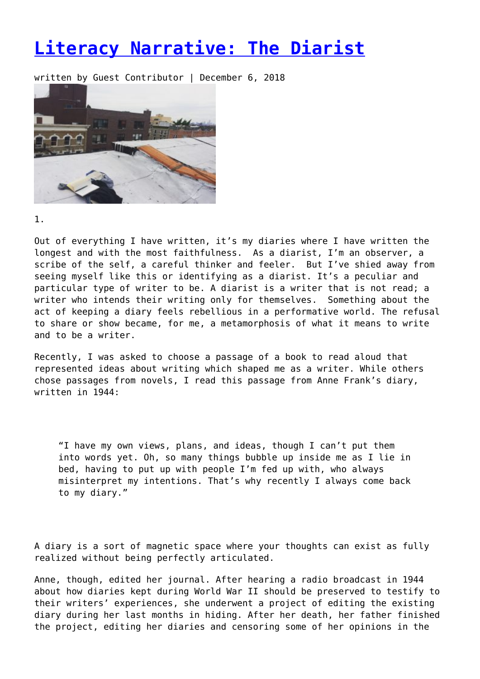## **[Literacy Narrative: The Diarist](https://entropymag.org/literacy-narrative-the-diarist/)**

written by Guest Contributor | December 6, 2018



1.

Out of everything I have written, it's my diaries where I have written the longest and with the most faithfulness. As a diarist, I'm an observer, a scribe of the self, a careful thinker and feeler. But I've shied away from seeing myself like this or identifying as a diarist. It's a peculiar and particular type of writer to be. A diarist is a writer that is not read; a writer who intends their writing only for themselves. Something about the act of keeping a diary feels rebellious in a performative world. The refusal to share or show became, for me, a metamorphosis of what it means to write and to be a writer.

Recently, I was asked to choose a passage of a book to read aloud that represented ideas about writing which shaped me as a writer. While others chose passages from novels, I read this passage from Anne Frank's diary, written in 1944:

"I have my own views, plans, and ideas, though I can't put them into words yet. Oh, so many things bubble up inside me as I lie in bed, having to put up with people I'm fed up with, who always misinterpret my intentions. That's why recently I always come back to my diary."

A diary is a sort of magnetic space where your thoughts can exist as fully realized without being perfectly articulated.

Anne, though, edited her journal. After hearing a radio broadcast in 1944 about how diaries kept during World War II should be preserved to testify to their writers' experiences, she underwent a project of editing the existing diary during her last months in hiding. After her death, her father finished the project, editing her diaries and censoring some of her opinions in the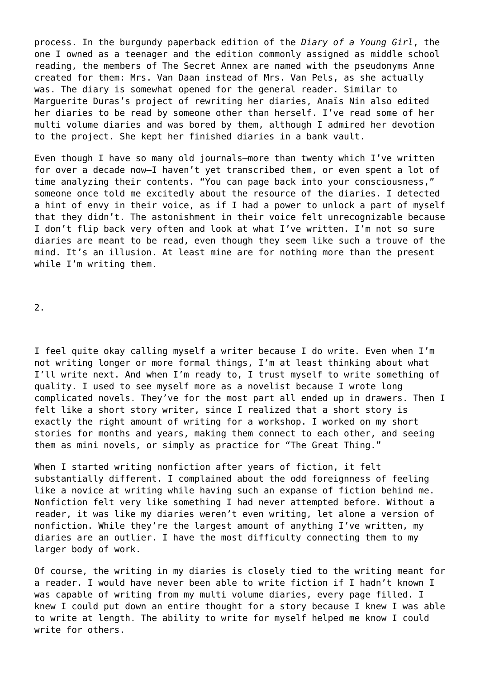process. In the burgundy paperback edition of the *Diary of a Young Girl*, the one I owned as a teenager and the edition commonly assigned as middle school reading, the members of The Secret Annex are named with the pseudonyms Anne created for them: Mrs. Van Daan instead of Mrs. Van Pels, as she actually was. The diary is somewhat opened for the general reader. Similar to Marguerite Duras's project of rewriting her diaries, Anaïs Nin also edited her diaries to be read by someone other than herself. I've read some of her multi volume diaries and was bored by them, although I admired her devotion to the project. She kept her finished diaries in a bank vault.

Even though I have so many old journals—more than twenty which I've written for over a decade now—I haven't yet transcribed them, or even spent a lot of time analyzing their contents. "You can page back into your consciousness," someone once told me excitedly about the resource of the diaries. I detected a hint of envy in their voice, as if I had a power to unlock a part of myself that they didn't. The astonishment in their voice felt unrecognizable because I don't flip back very often and look at what I've written. I'm not so sure diaries are meant to be read, even though they seem like such a trouve of the mind. It's an illusion. At least mine are for nothing more than the present while I'm writing them.

2.

I feel quite okay calling myself a writer because I do write. Even when I'm not writing longer or more formal things, I'm at least thinking about what I'll write next. And when I'm ready to, I trust myself to write something of quality. I used to see myself more as a novelist because I wrote long complicated novels. They've for the most part all ended up in drawers. Then I felt like a short story writer, since I realized that a short story is exactly the right amount of writing for a workshop. I worked on my short stories for months and years, making them connect to each other, and seeing them as mini novels, or simply as practice for "The Great Thing."

When I started writing nonfiction after years of fiction, it felt substantially different. I complained about the odd foreignness of feeling like a novice at writing while having such an expanse of fiction behind me. Nonfiction felt very like something I had never attempted before. Without a reader, it was like my diaries weren't even writing, let alone a version of nonfiction. While they're the largest amount of anything I've written, my diaries are an outlier. I have the most difficulty connecting them to my larger body of work.

Of course, the writing in my diaries is closely tied to the writing meant for a reader. I would have never been able to write fiction if I hadn't known I was capable of writing from my multi volume diaries, every page filled. I knew I could put down an entire thought for a story because I knew I was able to write at length. The ability to write for myself helped me know I could write for others.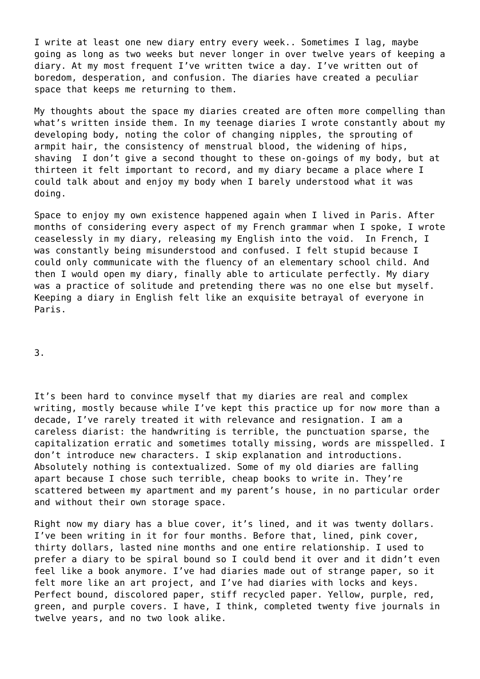I write at least one new diary entry every week.. Sometimes I lag, maybe going as long as two weeks but never longer in over twelve years of keeping a diary. At my most frequent I've written twice a day. I've written out of boredom, desperation, and confusion. The diaries have created a peculiar space that keeps me returning to them.

My thoughts about the space my diaries created are often more compelling than what's written inside them. In my teenage diaries I wrote constantly about my developing body, noting the color of changing nipples, the sprouting of armpit hair, the consistency of menstrual blood, the widening of hips, shaving I don't give a second thought to these on-goings of my body, but at thirteen it felt important to record, and my diary became a place where I could talk about and enjoy my body when I barely understood what it was doing.

Space to enjoy my own existence happened again when I lived in Paris. After months of considering every aspect of my French grammar when I spoke, I wrote ceaselessly in my diary, releasing my English into the void. In French, I was constantly being misunderstood and confused. I felt stupid because I could only communicate with the fluency of an elementary school child. And then I would open my diary, finally able to articulate perfectly. My diary was a practice of solitude and pretending there was no one else but myself. Keeping a diary in English felt like an exquisite betrayal of everyone in Paris.

3.

It's been hard to convince myself that my diaries are real and complex writing, mostly because while I've kept this practice up for now more than a decade, I've rarely treated it with relevance and resignation. I am a careless diarist: the handwriting is terrible, the punctuation sparse, the capitalization erratic and sometimes totally missing, words are misspelled. I don't introduce new characters. I skip explanation and introductions. Absolutely nothing is contextualized. Some of my old diaries are falling apart because I chose such terrible, cheap books to write in. They're scattered between my apartment and my parent's house, in no particular order and without their own storage space.

Right now my diary has a blue cover, it's lined, and it was twenty dollars. I've been writing in it for four months. Before that, lined, pink cover, thirty dollars, lasted nine months and one entire relationship. I used to prefer a diary to be spiral bound so I could bend it over and it didn't even feel like a book anymore. I've had diaries made out of strange paper, so it felt more like an art project, and I've had diaries with locks and keys. Perfect bound, discolored paper, stiff recycled paper. Yellow, purple, red, green, and purple covers. I have, I think, completed twenty five journals in twelve years, and no two look alike.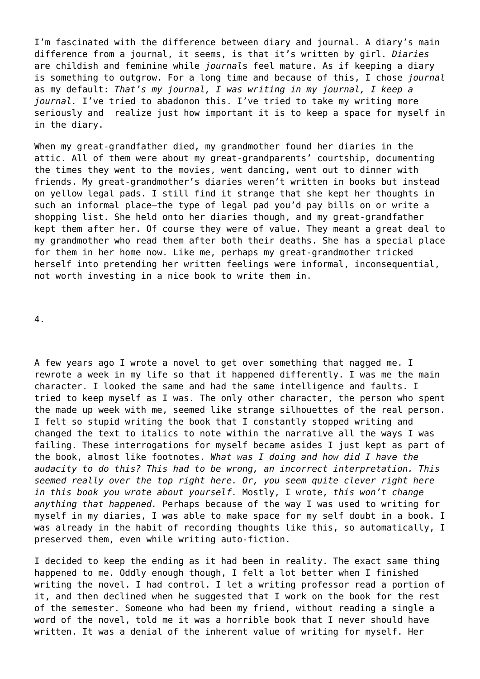I'm fascinated with the difference between diary and journal. A diary's main difference from a journal, it seems, is that it's written by girl. *Diaries* are childish and feminine while *journal*s feel mature. As if keeping a diary is something to outgrow. For a long time and because of this, I chose *journal* as my default: *That's my journal, I was writing in my journal, I keep a journal.* I've tried to abadonon this. I've tried to take my writing more seriously and realize just how important it is to keep a space for myself in in the diary.

When my great-grandfather died, my grandmother found her diaries in the attic. All of them were about my great-grandparents' courtship, documenting the times they went to the movies, went dancing, went out to dinner with friends. My great-grandmother's diaries weren't written in books but instead on yellow legal pads. I still find it strange that she kept her thoughts in such an informal place—the type of legal pad you'd pay bills on or write a shopping list. She held onto her diaries though, and my great-grandfather kept them after her. Of course they were of value. They meant a great deal to my grandmother who read them after both their deaths. She has a special place for them in her home now. Like me, perhaps my great-grandmother tricked herself into pretending her written feelings were informal, inconsequential, not worth investing in a nice book to write them in.

4.

A few years ago I wrote a novel to get over something that nagged me. I rewrote a week in my life so that it happened differently. I was me the main character. I looked the same and had the same intelligence and faults. I tried to keep myself as I was. The only other character, the person who spent the made up week with me, seemed like strange silhouettes of the real person. I felt so stupid writing the book that I constantly stopped writing and changed the text to italics to note within the narrative all the ways I was failing. These interrogations for myself became asides I just kept as part of the book, almost like footnotes. *What was I doing and how did I have the audacity to do this? This had to be wrong, an incorrect interpretation. This seemed really over the top right here. Or, you seem quite clever right here in this book you wrote about yourself.* Mostly, I wrote, *this won't change anything that happened.* Perhaps because of the way I was used to writing for myself in my diaries, I was able to make space for my self doubt in a book. I was already in the habit of recording thoughts like this, so automatically, I preserved them, even while writing auto-fiction.

I decided to keep the ending as it had been in reality. The exact same thing happened to me. Oddly enough though, I felt a lot better when I finished writing the novel. I had control. I let a writing professor read a portion of it, and then declined when he suggested that I work on the book for the rest of the semester. Someone who had been my friend, without reading a single a word of the novel, told me it was a horrible book that I never should have written. It was a denial of the inherent value of writing for myself. Her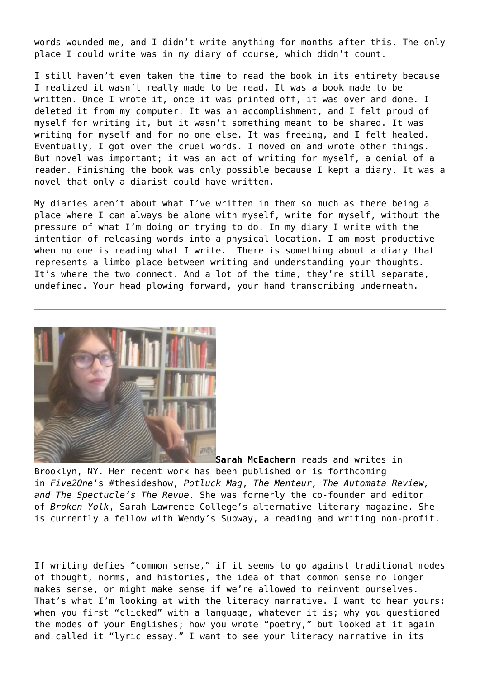words wounded me, and I didn't write anything for months after this. The only place I could write was in my diary of course, which didn't count.

I still haven't even taken the time to read the book in its entirety because I realized it wasn't really made to be read. It was a book made to be written. Once I wrote it, once it was printed off, it was over and done. I deleted it from my computer. It was an accomplishment, and I felt proud of myself for writing it, but it wasn't something meant to be shared. It was writing for myself and for no one else. It was freeing, and I felt healed. Eventually, I got over the cruel words. I moved on and wrote other things. But novel was important; it was an act of writing for myself, a denial of a reader. Finishing the book was only possible because I kept a diary. It was a novel that only a diarist could have written.

My diaries aren't about what I've written in them so much as there being a place where I can always be alone with myself, write for myself, without the pressure of what I'm doing or trying to do. In my diary I write with the intention of releasing words into a physical location. I am most productive when no one is reading what I write. There is something about a diary that represents a limbo place between writing and understanding your thoughts. It's where the two connect. And a lot of the time, they're still separate, undefined. Your head plowing forward, your hand transcribing underneath.



**[S](https://entropymag.org/?attachment_id=51662)arah McEachern** reads and writes in Brooklyn, NY. Her recent work has been published or is forthcoming in *Five2One*'s #thesideshow, *Potluck Mag*, *The Menteur, The Automata Review, and The Spectucle's The Revue*. She was formerly the co-founder and editor of *Broken Yolk*, Sarah Lawrence College's alternative literary magazine. She is currently a fellow with Wendy's Subway, a reading and writing non-profit.

If writing defies "common sense," if it seems to go against traditional modes of thought, norms, and histories, the idea of that common sense no longer makes sense, or might make sense if we're allowed to reinvent ourselves. That's what I'm looking at with the literacy narrative. I want to hear yours: when you first "clicked" with a language, whatever it is; why you questioned the modes of your Englishes; how you wrote "poetry," but looked at it again and called it "lyric essay." I want to see your literacy narrative in its